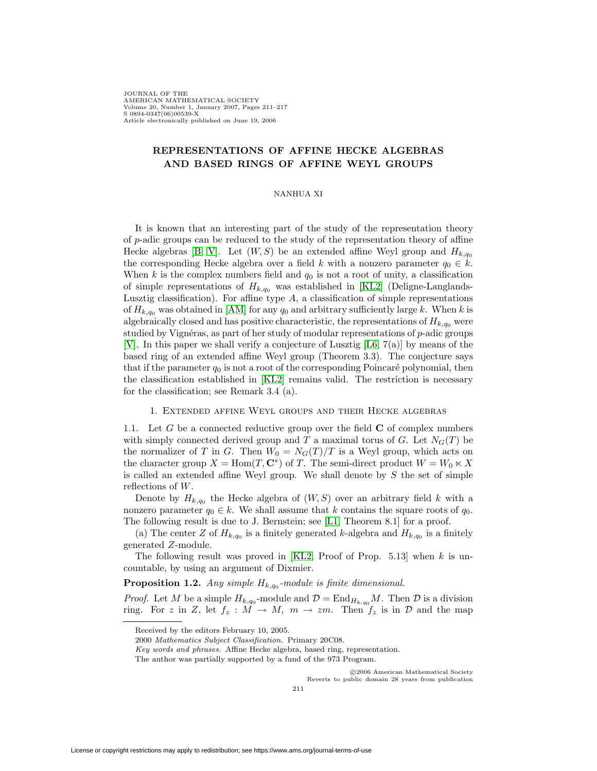JOURNAL OF THE AMERICAN MATHEMATICAL SOCIETY Volume 20, Number 1, January 2007, Pages 211–217 S 0894-0347(06)00539-X Article electronically published on June 19, 2006

# **REPRESENTATIONS OF AFFINE HECKE ALGEBRAS AND BASED RINGS OF AFFINE WEYL GROUPS**

#### NANHUA XI

It is known that an interesting part of the study of the representation theory of p-adic groups can be reduced to the study of the representation theory of affine Hecke algebras [\[B,](#page-5-0) [V\]](#page-6-0). Let  $(W, S)$  be an extended affine Weyl group and  $H_{k,q_0}$ the corresponding Hecke algebra over a field k with a nonzero parameter  $q_0 \in k$ . When  $k$  is the complex numbers field and  $q_0$  is not a root of unity, a classification of simple representations of  $H_{k,q_0}$  was established in [\[KL2\]](#page-5-1) (Deligne-Langlands-Lusztig classification). For affine type  $A$ , a classification of simple representations of  $H_{k,q_0}$  was obtained in [\[AM\]](#page-5-2) for any  $q_0$  and arbitrary sufficiently large k. When k is algebraically closed and has positive characteristic, the representations of  $H_{k,q_0}$  were studied by Vignéras, as part of her study of modular representations of  $p$ -adic groups [\[V\]](#page-6-0). In this paper we shall verify a conjecture of Lusztig [\[L6,](#page-6-1) 7(a)] by means of the based ring of an extended affine Weyl group (Theorem 3.3). The conjecture says that if the parameter  $q_0$  is not a root of the corresponding Poincaré polynomial, then the classification established in [\[KL2\]](#page-5-1) remains valid. The restriction is necessary for the classification; see Remark 3.4 (a).

# 1. Extended affine Weyl groups and their Hecke algebras

1.1. Let G be a connected reductive group over the field **C** of complex numbers with simply connected derived group and T a maximal torus of G. Let  $N_G(T)$  be the normalizer of T in G. Then  $W_0 = N_G(T)/T$  is a Weyl group, which acts on the character group  $X = \text{Hom}(T, \mathbb{C}^*)$  of T. The semi-direct product  $W = W_0 \ltimes X$ is called an extended affine Weyl group. We shall denote by  $S$  the set of simple reflections of W.

Denote by  $H_{k,q_0}$  the Hecke algebra of  $(W, S)$  over an arbitrary field k with a nonzero parameter  $q_0 \in k$ . We shall assume that k contains the square roots of  $q_0$ . The following result is due to J. Bernstein; see [\[L1,](#page-5-3) Theorem 8.1] for a proof.

(a) The center Z of  $H_{k,q_0}$  is a finitely generated k-algebra and  $H_{k,q_0}$  is a finitely generated Z-module.

The following result was proved in [\[KL2,](#page-5-1) Proof of Prop.  $5.13$ ] when k is uncountable, by using an argument of Dixmier.

**Proposition 1.2.** Any simple  $H_{k,q_0}$ -module is finite dimensional.

*Proof.* Let M be a simple  $H_{k,q_0}$ -module and  $\mathcal{D} = \text{End}_{H_{k,q_0}} M$ . Then  $\mathcal{D}$  is a division ring. For z in Z, let  $f_z : M \to M$ ,  $m \to zm$ . Then  $f_z$  is in D and the map

c 2006 American Mathematical Society Reverts to public domain 28 years from publication

Received by the editors February 10, 2005.

<sup>2000</sup> Mathematics Subject Classification. Primary 20C08.

Key words and phrases. Affine Hecke algebra, based ring, representation.

The author was partially supported by a fund of the 973 Program.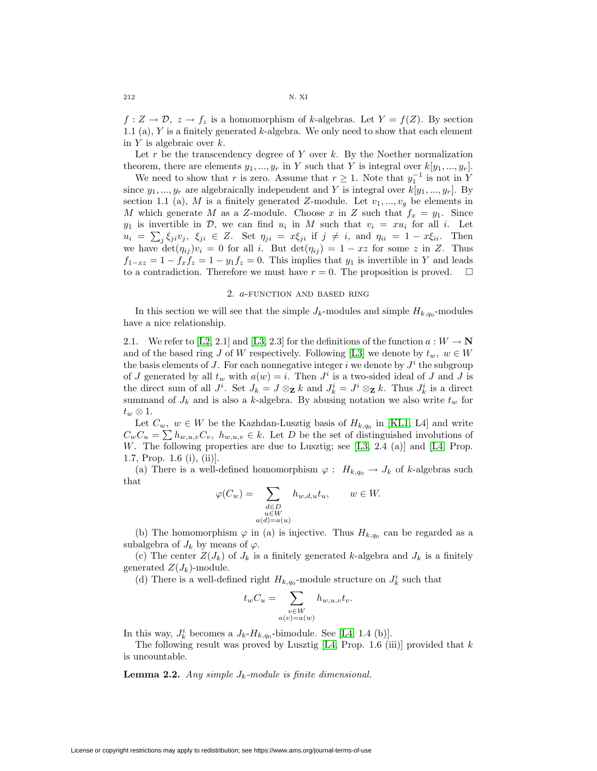$f: Z \to \mathcal{D}, z \to f_z$  is a homomorphism of k-algebras. Let  $Y = f(Z)$ . By section 1.1 (a),  $Y$  is a finitely generated  $k$ -algebra. We only need to show that each element in  $Y$  is algebraic over  $k$ .

Let  $r$  be the transcendency degree of  $Y$  over  $k$ . By the Noether normalization theorem, there are elements  $y_1, ..., y_r$  in Y such that Y is integral over  $k[y_1, ..., y_r]$ .

We need to show that r is zero. Assume that  $r \geq 1$ . Note that  $y_1^{-1}$  is not in Y since  $y_1, ..., y_r$  are algebraically independent and Y is integral over  $k[y_1, ..., y_r]$ . By section 1.1 (a), M is a finitely generated Z-module. Let  $v_1, ..., v_g$  be elements in M which generate M as a Z-module. Choose x in Z such that  $f_x = y_1$ . Since  $y_1$  is invertible in  $\mathcal{D}$ , we can find  $u_i$  in M such that  $v_i = xu_i$  for all i. Let  $u_i = \sum_j \xi_{ji} v_j$ ,  $\xi_{ji} \in Z$ . Set  $\eta_{ji} = x \xi_{ji}$  if  $j \neq i$ , and  $\eta_{ii} = 1 - x \xi_{ii}$ . Then we have  $\det(\eta_{ij})v_i = 0$  for all i. But  $\det(\eta_{ij}) = 1 - xz$  for some z in Z. Thus  $f_{1-xz} = 1 - f_x f_z = 1 - y_1 f_z = 0$ . This implies that  $y_1$  is invertible in Y and leads to a contradiction. Therefore we must have  $r = 0$ . The proposition is proved.  $\square$ to a contradiction. Therefore we must have  $r = 0$ . The proposition is proved.

### 2. a-function and based ring

In this section we will see that the simple  $J_k$ -modules and simple  $H_{k,q_0}$ -modules have a nice relationship.

2.1. We refer to [\[L2,](#page-5-4) 2.1] and [\[L3,](#page-5-5) 2.3] for the definitions of the function  $a: W \to \mathbb{N}$ and of the based ring J of W respectively. Following [\[L3\]](#page-5-5) we denote by  $t_w, w \in W$ the basis elements of J. For each nonnegative integer i we denote by  $J^i$  the subgroup of J generated by all  $t_w$  with  $a(w) = i$ . Then  $J^i$  is a two-sided ideal of J and J is the direct sum of all  $J^i$ . Set  $J_k = J \otimes_{\mathbf{Z}} k$  and  $J^i_k = J^i \otimes_{\mathbf{Z}} k$ . Thus  $J^i_k$  is a direct summand of  $J_k$  and is also a k-algebra. By abusing notation we also write  $t_w$  for  $t_w \otimes 1$ .

Let  $C_w$ ,  $w \in W$  be the Kazhdan-Lusztig basis of  $H_{k,q_0}$  in [\[KL1,](#page-5-6) L4] and write  $C_wC_u = \sum h_{w,u,v}C_v$ ,  $h_{w,u,v} \in k$ . Let D be the set of distinguished involutions of W. The following properties are due to Lusztig; see  $[LS, 2.4 \text{ (a)}]$  and  $[L4, Prop.$  $[L4, Prop.$ 1.7, Prop. 1.6 (i), (ii)].

(a) There is a well-defined homomorphism  $\varphi: H_{k,q_0} \to J_k$  of k-algebras such that

$$
\varphi(C_w) = \sum_{\substack{d \in D \\ u \in W \\ a(d) = a(u)}} h_{w,d,u} t_u, \qquad w \in W.
$$

(b) The homomorphism  $\varphi$  in (a) is injective. Thus  $H_{k,q_0}$  can be regarded as a subalgebra of  $J_k$  by means of  $\varphi$ .

(c) The center  $Z(J_k)$  of  $J_k$  is a finitely generated k-algebra and  $J_k$  is a finitely generated  $Z(J_k)$ -module.

(d) There is a well-defined right  $H_{k,q_0}$ -module structure on  $J_k^i$  such that

$$
t_w C_u = \sum_{\substack{v \in W \\ a(v) = a(w)}} h_{w,u,v} t_v.
$$

In this way,  $J_k^i$  becomes a  $J_k$ - $H_{k,q_0}$ -bimodule. See [\[L4,](#page-6-2) 1.4 (b)].

The following result was proved by Lusztig  $[L4, Prop. 1.6 (iii)]$  $[L4, Prop. 1.6 (iii)]$  provided that k is uncountable.

**Lemma 2.2.** Any simple  $J_k$ -module is finite dimensional.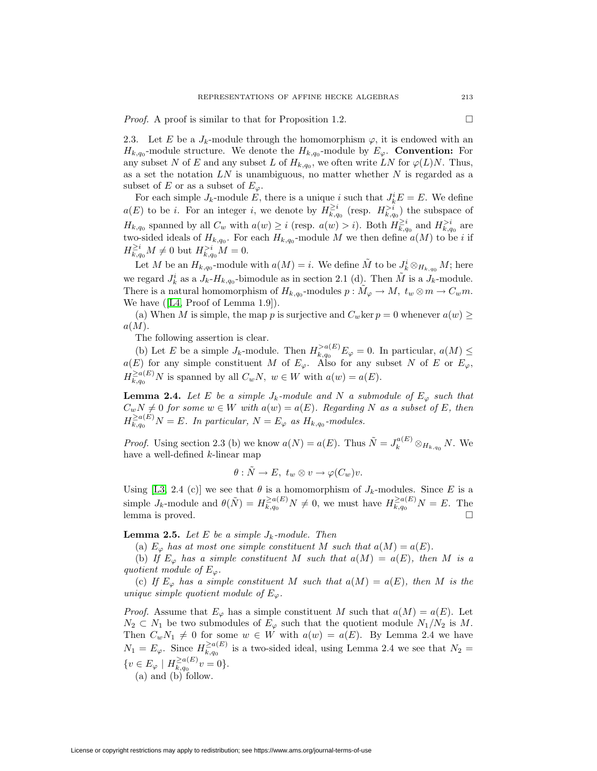*Proof.* A proof is similar to that for Proposition 1.2.

2.3. Let E be a  $J_k$ -module through the homomorphism  $\varphi$ , it is endowed with an  $H_{k,q_0}$ -module structure. We denote the  $H_{k,q_0}$ -module by  $E_\varphi$ . **Convention:** For any subset N of E and any subset L of  $H_{k,q_0}$ , we often write LN for  $\varphi(L)N$ . Thus, as a set the notation  $LN$  is unambiguous, no matter whether  $N$  is regarded as a subset of E or as a subset of  $E_{\varphi}$ .

For each simple  $J_k$ -module E, there is a unique i such that  $J_k^i E = E$ . We define  $a(E)$  to be *i*. For an integer *i*, we denote by  $H_{k,q_0}^{\geq i}$  (resp.  $H_{k,q_0}^{>i}$ ) the subspace of  $H_{k,q_0}$  spanned by all  $C_w$  with  $a(w) \geq i$  (resp.  $a(w) > i$ ). Both  $H_{k,q_0}^{\geq i}$  and  $H_{k,q_0}^{>i}$  are two-sided ideals of  $H_{k,q_0}$ . For each  $H_{k,q_0}$ -module M we then define  $a(M)$  to be i if  $H_{k,q_0}^{\geq i}M \neq 0$  but  $H_{k,q_0}^{>i}M = 0$ .

Let M be an  $H_{k,q_0}$ -module with  $a(M) = i$ . We define  $\tilde{M}$  to be  $J_k^i \otimes_{H_{k,q_0}} M$ ; here we regard  $J_k^i$  as a  $J_k$ - $H_{k,q_0}$ -bimodule as in section 2.1 (d). Then  $\tilde{M}$  is a  $J_k$ -module. There is a natural homomorphism of  $H_{k,q_0}$ -modules  $p : \tilde{M}_{\varphi} \to M$ ,  $t_w \otimes m \to C_w m$ . We have ([\[L4,](#page-6-2) Proof of Lemma 1.9]).

(a) When M is simple, the map p is surjective and  $C_w$ ker  $p = 0$  whenever  $a(w) \geq$  $a(M).$ 

The following assertion is clear.

(b) Let E be a simple  $J_k$ -module. Then  $H_{k,q_0}^{>a(E)}E_\varphi=0$ . In particular,  $a(M) \leq$  $a(E)$  for any simple constituent M of  $E_{\varphi}$ . Also for any subset N of E or  $E_{\varphi}$ ,  $H_{k,q_0}^{\ge a(E)}N$  is spanned by all  $C_wN$ ,  $w \in W$  with  $a(w) = a(E)$ .

**Lemma 2.4.** Let E be a simple  $J_k$ -module and N a submodule of  $E_\varphi$  such that  $C_wN \neq 0$  for some  $w \in W$  with  $a(w) = a(E)$ . Regarding N as a subset of E, then  $H_{k,q_0}^{\geq a(E)}N = E$ . In particular,  $N = E_{\varphi}$  as  $H_{k,q_0}$ -modules.

*Proof.* Using section 2.3 (b) we know  $a(N) = a(E)$ . Thus  $\tilde{N} = J_k^{a(E)} \otimes_{H_{k,q_0}} N$ . We have a well-defined k-linear map

$$
\theta: \tilde{N} \to E, \ t_w \otimes v \to \varphi(C_w)v.
$$

Using [\[L3,](#page-5-5) 2.4 (c)] we see that  $\theta$  is a homomorphism of  $J_k$ -modules. Since E is a simple  $J_k$ -module and  $\theta(\tilde{N}) = H_{k,q_0}^{\geq a(E)} N \neq 0$ , we must have  $H_{k,q_0}^{\geq a(E)} N = E$ . The lemma is proved.

**Lemma 2.5.** Let E be a simple  $J_k$ -module. Then

(a)  $E_{\varphi}$  has at most one simple constituent M such that  $a(M) = a(E)$ .

(b) If  $E_{\varphi}$  has a simple constituent M such that  $a(M) = a(E)$ , then M is a quotient module of  $E_\varphi$ .

(c) If  $E_{\varphi}$  has a simple constituent M such that  $a(M) = a(E)$ , then M is the unique simple quotient module of  $E_{\varphi}$ .

*Proof.* Assume that  $E_{\varphi}$  has a simple constituent M such that  $a(M) = a(E)$ . Let  $N_2 \subset N_1$  be two submodules of  $E_\varphi$  such that the quotient module  $N_1/N_2$  is M. Then  $C_wN_1 \neq 0$  for some  $w \in W$  with  $a(w) = a(E)$ . By Lemma 2.4 we have  $N_1 = E_{\varphi}$ . Since  $H_{k,q_0}^{\ge a(E)}$  is a two-sided ideal, using Lemma 2.4 we see that  $N_2 =$  $\{v \in E_{\varphi} \mid H_{k,q_0}^{\geq a(E)}v = 0\}.$ 

(a) and (b) follow.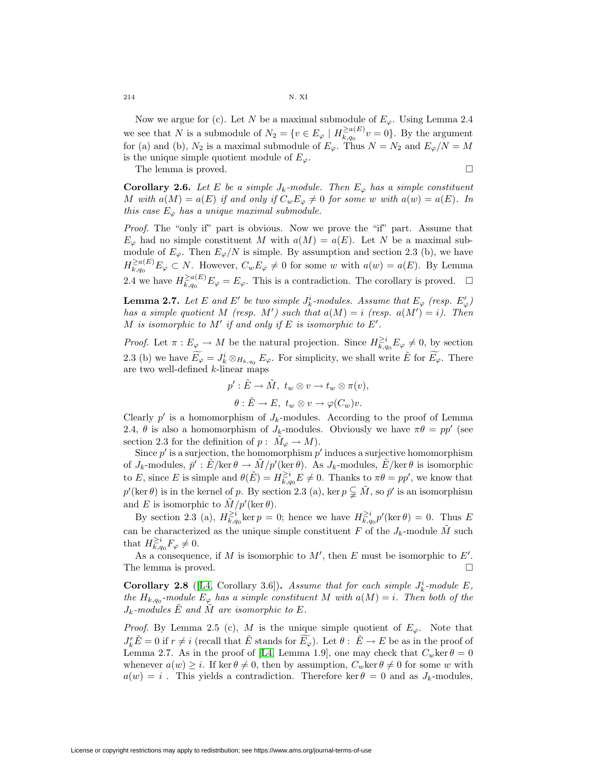Now we argue for (c). Let N be a maximal submodule of  $E_{\varphi}$ . Using Lemma 2.4 we see that N is a submodule of  $N_2 = \{v \in E_\varphi \mid H_{k,q_0}^{\geq a(E)}v = 0\}$ . By the argument for (a) and (b),  $N_2$  is a maximal submodule of  $E_{\varphi}$ . Thus  $N = N_2$  and  $E_{\varphi}/N = M$ is the unique simple quotient module of  $E_{\varphi}$ .

The lemma is proved.

$$
\qquad \qquad \Box
$$

**Corollary 2.6.** Let E be a simple  $J_k$ -module. Then  $E_{\varphi}$  has a simple constituent M with  $a(M) = a(E)$  if and only if  $C_w E_\varphi \neq 0$  for some w with  $a(w) = a(E)$ . In this case  $E_{\varphi}$  has a unique maximal submodule.

Proof. The "only if" part is obvious. Now we prove the "if" part. Assume that  $E_{\varphi}$  had no simple constituent M with  $a(M) = a(E)$ . Let N be a maximal submodule of  $E_{\varphi}$ . Then  $E_{\varphi}/N$  is simple. By assumption and section 2.3 (b), we have  $H_{k,q_0}^{\geq a(E)} E_{\varphi} \subset N$ . However,  $C_w E_{\varphi} \neq 0$  for some w with  $a(w) = a(E)$ . By Lemma 2.4 we have  $H_{k,q_0}^{\geq a(E)}E_\varphi = E_\varphi$ . This is a contradiction. The corollary is proved.  $\Box$ 

**Lemma 2.7.** Let E and E' be two simple  $J_k^i$ -modules. Assume that  $E_\varphi$  (resp.  $E'_\varphi$ ) has a simple quotient M (resp. M') such that  $a(M) = i$  (resp.  $a(M') = i$ ). Then M is isomorphic to  $M'$  if and only if E is isomorphic to  $E'.$ 

*Proof.* Let  $\pi: E_{\varphi} \to M$  be the natural projection. Since  $H_{k,q_0}^{\geq i} E_{\varphi} \neq 0$ , by section 2.3 (b) we have  $\widetilde{E_{\varphi}} = J_k^i \otimes_{H_{k,q_0}} E_{\varphi}$ . For simplicity, we shall write  $\widetilde{E}$  for  $\widetilde{E_{\varphi}}$ . There are two well-defined k-linear maps

$$
p': \tilde{E} \to \tilde{M}, \ t_w \otimes v \to t_w \otimes \pi(v),
$$

$$
\theta : \tilde{E} \to E, \ t_w \otimes v \to \varphi(C_w)v.
$$

Clearly  $p'$  is a homomorphism of  $J_k$ -modules. According to the proof of Lemma 2.4,  $\theta$  is also a homomorphism of  $J_k$ -modules. Obviously we have  $\pi\theta = pp'$  (see section 2.3 for the definition of  $p: M_{\varphi} \to M$ ).

Since  $p'$  is a surjection, the homomorphism  $p'$  induces a surjective homomorphism of  $J_k$ -modules,  $\bar{p}' : \tilde{E}/\text{ker} \theta \to \tilde{M}/p'(\text{ker} \theta)$ . As  $J_k$ -modules,  $\tilde{E}/\text{ker} \theta$  is isomorphic to E, since E is simple and  $\theta(E) = H_{k,q_0}^{\geq i} E \neq 0$ . Thanks to  $\pi \theta = pp'$ , we know that  $p'(\ker \theta)$  is in the kernel of p. By section 2.3 (a), ker  $p \subsetneq \tilde{M}$ , so  $\bar{p}'$  is an isomorphism and E is isomorphic to  $\tilde{M}/p'(\ker \theta)$ .

By section 2.3 (a),  $H_{k,q_0}^{\geq i}$  ker  $p=0$ ; hence we have  $H_{k,q_0}^{\geq i} p'(\ker \theta) = 0$ . Thus E can be characterized as the unique simple constituent  $F$  of the  $J_k$ -module  $M$  such that  $H_{k,q_0}^{\geq i}F_\varphi\neq 0.$ 

As a consequence, if M is isomorphic to  $M'$ , then E must be isomorphic to E'. The lemma is proved.  $\square$ 

**Corollary 2.8** ([\[L4,](#page-6-2) Corollary 3.6]). Assume that for each simple  $J_k^i$ -module  $E$ , the  $H_{k,q_0}$ -module  $E_{\varphi}$  has a simple constituent M with  $a(M) = i$ . Then both of the  $J_k$ -modules  $\tilde{E}$  and M are isomorphic to E.

*Proof.* By Lemma 2.5 (c), M is the unique simple quotient of  $E_{\varphi}$ . Note that  $J_k^r \tilde{E} = 0$  if  $r \neq i$  (recall that  $\tilde{E}$  stands for  $\widetilde{E_{\varphi}}$ ). Let  $\theta : \tilde{E} \to E$  be as in the proof of Lemma 2.7. As in the proof of [\[L4,](#page-6-2) Lemma 1.9], one may check that  $C_w \text{ker } \theta = 0$ whenever  $a(w) \geq i$ . If ker  $\theta \neq 0$ , then by assumption,  $C_w \text{ker } \theta \neq 0$  for some w with  $a(w) = i$ . This yields a contradiction. Therefore ker  $\theta = 0$  and as  $J_k$ -modules,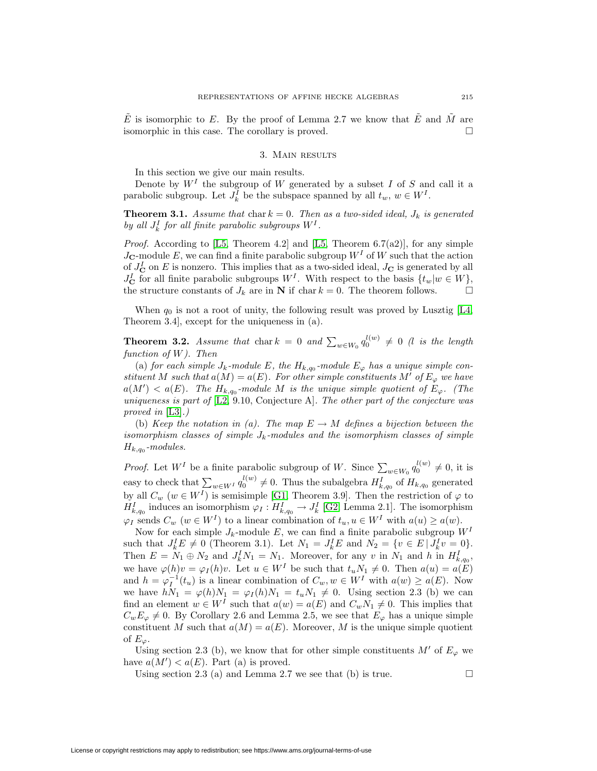E is isomorphic to E. By the proof of Lemma 2.7 we know that E and M are isomorphic in this case. The corollary is proved.

# 3. Main results

In this section we give our main results.

Denote by  $W<sup>I</sup>$  the subgroup of W generated by a subset I of S and call it a parabolic subgroup. Let  $J_k^I$  be the subspace spanned by all  $t_w, w \in W^I$ .

**Theorem 3.1.** Assume that char  $k = 0$ . Then as a two-sided ideal,  $J_k$  is generated by all  $J_k^I$  for all finite parabolic subgroups  $W^I$ .

*Proof.* According to [\[L5,](#page-6-3) Theorem 4.2] and [L5, Theorem 6.7(a2)], for any simple  $J_{\mathbf{C}}$ -module E, we can find a finite parabolic subgroup  $W^I$  of W such that the action of  $J_{\mathbf{C}}^I$  on E is nonzero. This implies that as a two-sided ideal,  $J_{\mathbf{C}}$  is generated by all  $J_{\mathbf{C}}^{I}$  for all finite parabolic subgroups  $W^{I}$ . With respect to the basis  $\{t_{w}|w \in W\},$ the structure constants of  $J_k$  are in **N** if char  $k = 0$ . The theorem follows.

When  $q_0$  is not a root of unity, the following result was proved by Lusztig [\[L4,](#page-6-2) Theorem 3.4], except for the uniqueness in (a).

**Theorem 3.2.** Assume that chark = 0 and  $\sum_{w \in W_0} q_0^{l(w)} \neq 0$  (l is the length function of  $W$ ). Then

(a) for each simple  $J_k$ -module E, the  $H_{k,q_0}$ -module  $E_{\varphi}$  has a unique simple constituent M such that  $a(M) = a(E)$ . For other simple constituents M' of  $E_{\varphi}$  we have  $a(M') < a(E)$ . The  $H_{k,q_0}$ -module M is the unique simple quotient of  $E_{\varphi}$ . (The uniqueness is part of [\[L2,](#page-5-4) 9.10, Conjecture A]. The other part of the conjecture was proved in [\[L3\]](#page-5-5).)

(b) Keep the notation in (a). The map  $E \to M$  defines a bijection between the isomorphism classes of simple  $J_k$ -modules and the isomorphism classes of simple  $H_{k,q_0}$ -modules.

*Proof.* Let  $W^I$  be a finite parabolic subgroup of W. Since  $\sum_{w \in W_0} q_0^{l(w)} \neq 0$ , it is easy to check that  $\sum_{w \in W} q_0^{l(w)} \neq 0$ . Thus the subalgebra  $H_{k,q_0}^I$  of  $H_{k,q_0}$  generated by all  $C_w$   $(w \in W^I)$  is semisimple [\[G1,](#page-5-7) Theorem 3.9]. Then the restriction of  $\varphi$  to  $H_{k,q_0}^I$  induces an isomorphism  $\varphi_I: H_{k,q_0}^I \to J_k^I$  [\[G2,](#page-5-8) Lemma 2.1]. The isomorphism  $\varphi_I$  sends  $C_w$   $(w \in W^I)$  to a linear combination of  $t_u, u \in W^I$  with  $a(u) \ge a(w)$ .

Now for each simple  $J_k$ -module E, we can find a finite parabolic subgroup  $W^I$ such that  $J_k^I E \neq 0$  (Theorem 3.1). Let  $N_1 = J_k^I E$  and  $N_2 = \{v \in E \mid J_k^I v = 0\}.$ Then  $E = N_1 \oplus N_2$  and  $J_k^I N_1 = N_1$ . Moreover, for any v in  $N_1$  and h in  $H_{k,q_0}^I$ , we have  $\varphi(h)v = \varphi_I(h)v$ . Let  $u \in W^I$  be such that  $t_u N_1 \neq 0$ . Then  $a(u) = a(E)$ and  $h = \varphi_I^{-1}(t_u)$  is a linear combination of  $C_w, w \in W^I$  with  $a(w) \ge a(E)$ . Now we have  $hN_1 = \varphi(h)N_1 = \varphi_I(h)N_1 = t_uN_1 \neq 0$ . Using section 2.3 (b) we can find an element  $w \in W<sup>I</sup>$  such that  $a(w) = a(E)$  and  $C_w N_1 \neq 0$ . This implies that  $C_wE_\varphi \neq 0$ . By Corollary 2.6 and Lemma 2.5, we see that  $E_\varphi$  has a unique simple constituent M such that  $a(M) = a(E)$ . Moreover, M is the unique simple quotient of  $E_\varphi$ .

Using section 2.3 (b), we know that for other simple constituents  $M'$  of  $E_{\varphi}$  we have  $a(M') < a(E)$ . Part (a) is proved.

Using section 2.3 (a) and Lemma 2.7 we see that (b) is true.  $\Box$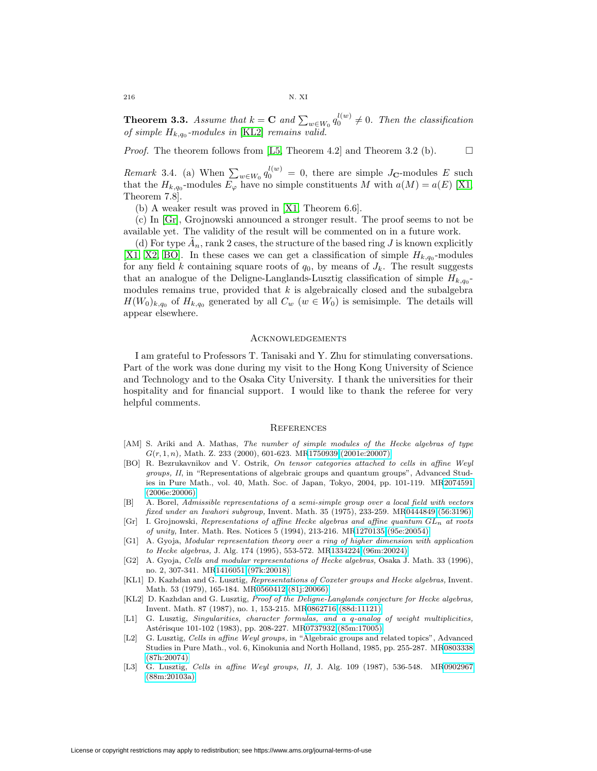216 N. XI

**Theorem 3.3.** Assume that  $k = \mathbf{C}$  and  $\sum_{w \in W_0} q_0^{l(w)} \neq 0$ . Then the classification of simple  $H_{k,q_0}$ -modules in [\[KL2\]](#page-5-1) remains valid.

*Proof.* The theorem follows from [\[L5,](#page-6-3) Theorem 4.2] and Theorem 3.2 (b).  $\Box$ 

Remark 3.4. (a) When  $\sum_{w \in W_0} q_0^{l(w)} = 0$ , there are simple J<sub>C</sub>-modules E such that the  $H_{k,q_0}$ -modules  $E_\varphi$  have no simple constituents M with  $a(M) = a(E)$  [\[X1,](#page-6-4) Theorem 7.8].

(b) A weaker result was proved in [\[X1,](#page-6-4) Theorem 6.6].

(c) In [\[Gr\]](#page-5-9), Grojnowski announced a stronger result. The proof seems to not be available yet. The validity of the result will be commented on in a future work.

(d) For type  $A_n$ , rank 2 cases, the structure of the based ring J is known explicitly [\[X1,](#page-6-4) [X2,](#page-6-5) [BO\]](#page-5-10). In these cases we can get a classification of simple  $H_{k,q_0}$ -modules for any field k containing square roots of  $q_0$ , by means of  $J_k$ . The result suggests that an analogue of the Deligne-Langlands-Lusztig classification of simple  $H_{k,q_0}$ modules remains true, provided that  $k$  is algebraically closed and the subalgebra  $H(W_0)_{k,q_0}$  of  $H_{k,q_0}$  generated by all  $C_w$   $(w \in W_0)$  is semisimple. The details will appear elsewhere.

#### Acknowledgements

I am grateful to Professors T. Tanisaki and Y. Zhu for stimulating conversations. Part of the work was done during my visit to the Hong Kong University of Science and Technology and to the Osaka City University. I thank the universities for their hospitality and for financial support. I would like to thank the referee for very helpful comments.

## **REFERENCES**

- <span id="page-5-2"></span>[AM] S. Ariki and A. Mathas, The number of simple modules of the Hecke algebras of type  $G(r, 1, n)$ , Math. Z. 233 (2000), 601-623. M[R1750939 \(2001e:20007\)](http://www.ams.org/mathscinet-getitem?mr=1750939)
- <span id="page-5-10"></span>[BO] R. Bezrukavnikov and V. Ostrik, On tensor categories attached to cells in affine Weyl groups, II, in "Representations of algebraic groups and quantum groups", Advanced Studies in Pure Math., vol. 40, Math. Soc. of Japan, Tokyo, 2004, pp. 101-119. M[R2074591](http://www.ams.org/mathscinet-getitem?mr=2074591) [\(2006e:20006\)](http://www.ams.org/mathscinet-getitem?mr=2074591)
- <span id="page-5-0"></span>[B] A. Borel, Admissible representations of a semi-simple group over a local field with vectors fixed under an Iwahori subgroup, Invent. Math. 35 (1975), 233-259. M[R0444849 \(56:3196\)](http://www.ams.org/mathscinet-getitem?mr=0444849)
- <span id="page-5-9"></span>[Gr] I. Grojnowski, Representations of affine Hecke algebras and affine quantum  $GL_n$  at roots of unity, Inter. Math. Res. Notices 5 (1994), 213-216. M[R1270135 \(95e:20054\)](http://www.ams.org/mathscinet-getitem?mr=1270135)
- <span id="page-5-7"></span>[G1] A. Gyoja, Modular representation theory over a ring of higher dimension with application to Hecke algebras, J. Alg. 174 (1995), 553-572. M[R1334224 \(96m:20024\)](http://www.ams.org/mathscinet-getitem?mr=1334224)
- <span id="page-5-8"></span>[G2] A. Gyoja, Cells and modular representations of Hecke algebras, Osaka J. Math. 33 (1996), no. 2, 307-341. M[R1416051 \(97k:20018\)](http://www.ams.org/mathscinet-getitem?mr=1416051)
- <span id="page-5-6"></span>[KL1] D. Kazhdan and G. Lusztig, Representations of Coxeter groups and Hecke algebras, Invent. Math. 53 (1979), 165-184. M[R0560412 \(81j:20066\)](http://www.ams.org/mathscinet-getitem?mr=0560412)
- <span id="page-5-1"></span>[KL2] D. Kazhdan and G. Lusztig, Proof of the Deligne-Langlands conjecture for Hecke algebras, Invent. Math. 87 (1987), no. 1, 153-215. M[R0862716 \(88d:11121\)](http://www.ams.org/mathscinet-getitem?mr=0862716)
- <span id="page-5-3"></span>[L1] G. Lusztig, Singularities, character formulas, and a q-analog of weight multiplicities, Astérisque 101-102 (1983), pp. 208-227. M[R0737932 \(85m:17005\)](http://www.ams.org/mathscinet-getitem?mr=0737932)
- <span id="page-5-4"></span>[L2] G. Lusztig, Cells in affine Weyl groups, in "Algebraic groups and related topics", Advanced Studies in Pure Math., vol. 6, Kinokunia and North Holland, 1985, pp. 255-287. M[R0803338](http://www.ams.org/mathscinet-getitem?mr=0803338) [\(87h:20074\)](http://www.ams.org/mathscinet-getitem?mr=0803338)
- <span id="page-5-5"></span>[L3] G. Lusztig, Cells in affine Weyl groups, II, J. Alg. 109 (1987), 536-548. M[R0902967](http://www.ams.org/mathscinet-getitem?mr=0902967) [\(88m:20103a\)](http://www.ams.org/mathscinet-getitem?mr=0902967)